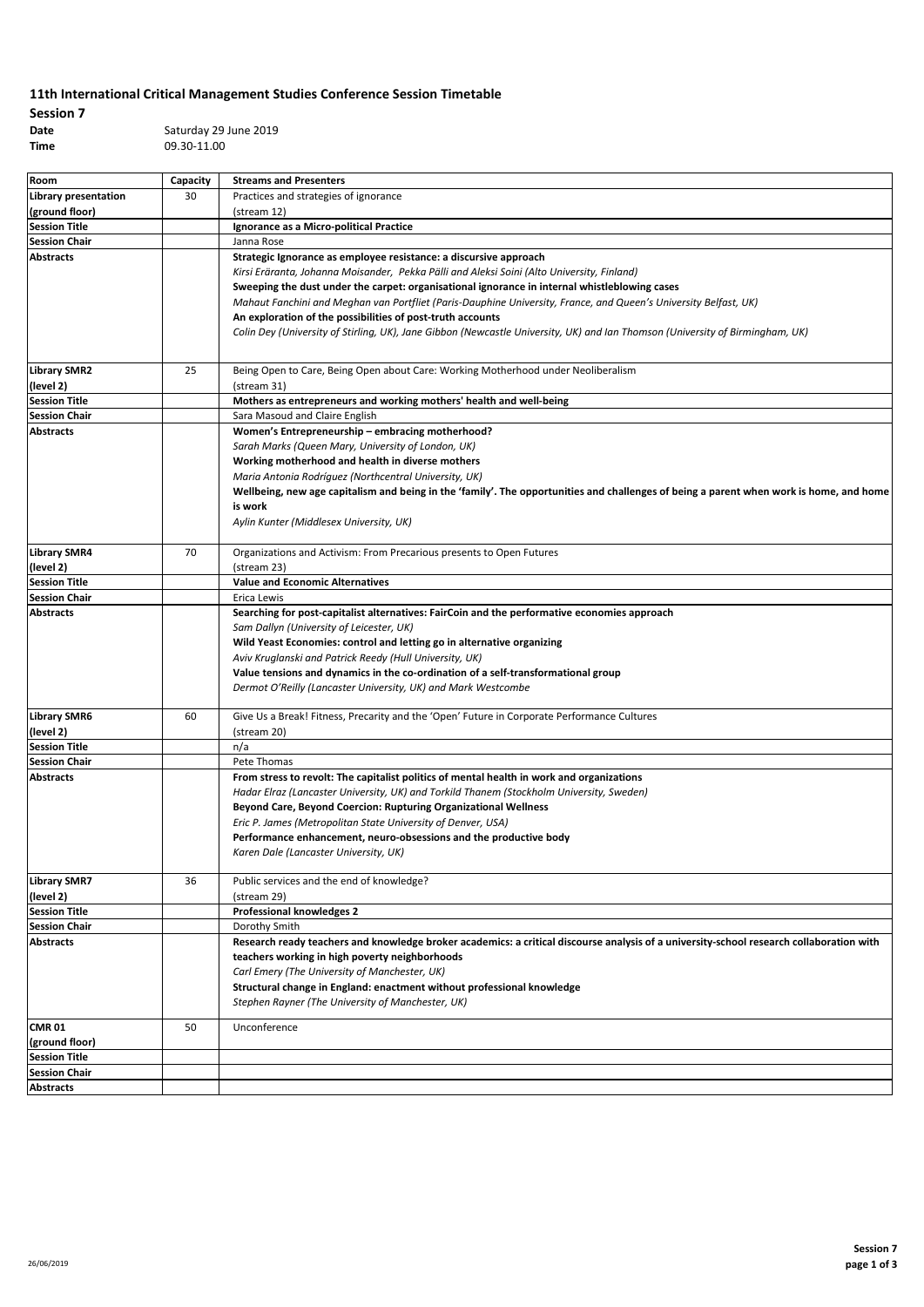## **11th International Critical Management Studies Conference Session Timetable**

**Session 7**

**Time** 09.30-11.00

**Date** Saturday 29 June 2019

| Room                                     | Capacity | <b>Streams and Presenters</b>                                                                                                            |
|------------------------------------------|----------|------------------------------------------------------------------------------------------------------------------------------------------|
| Library presentation                     | 30       | Practices and strategies of ignorance                                                                                                    |
| (ground floor)                           |          | (stream 12)                                                                                                                              |
| <b>Session Title</b>                     |          | Ignorance as a Micro-political Practice                                                                                                  |
| <b>Session Chair</b>                     |          | Janna Rose                                                                                                                               |
| <b>Abstracts</b>                         |          | Strategic Ignorance as employee resistance: a discursive approach                                                                        |
|                                          |          | Kirsi Eräranta, Johanna Moisander, Pekka Pälli and Aleksi Soini (Alto University, Finland)                                               |
|                                          |          | Sweeping the dust under the carpet: organisational ignorance in internal whistleblowing cases                                            |
|                                          |          | Mahaut Fanchini and Meghan van Portfliet (Paris-Dauphine University, France, and Queen's University Belfast, UK)                         |
|                                          |          | An exploration of the possibilities of post-truth accounts                                                                               |
|                                          |          | Colin Dey (University of Stirling, UK), Jane Gibbon (Newcastle University, UK) and Ian Thomson (University of Birmingham, UK)            |
|                                          |          |                                                                                                                                          |
|                                          |          |                                                                                                                                          |
| <b>Library SMR2</b>                      | 25       | Being Open to Care, Being Open about Care: Working Motherhood under Neoliberalism                                                        |
| (level 2)                                |          | (stream 31)                                                                                                                              |
| <b>Session Title</b>                     |          | Mothers as entrepreneurs and working mothers' health and well-being                                                                      |
| <b>Session Chair</b>                     |          | Sara Masoud and Claire English                                                                                                           |
| <b>Abstracts</b>                         |          | Women's Entrepreneurship - embracing motherhood?                                                                                         |
|                                          |          | Sarah Marks (Queen Mary, University of London, UK)                                                                                       |
|                                          |          | Working motherhood and health in diverse mothers                                                                                         |
|                                          |          | Maria Antonia Rodríguez (Northcentral University, UK)                                                                                    |
|                                          |          | Wellbeing, new age capitalism and being in the 'family'. The opportunities and challenges of being a parent when work is home, and home  |
|                                          |          | is work                                                                                                                                  |
|                                          |          | Aylin Kunter (Middlesex University, UK)                                                                                                  |
|                                          |          |                                                                                                                                          |
| <b>Library SMR4</b>                      | 70       | Organizations and Activism: From Precarious presents to Open Futures<br>(stream 23)                                                      |
| (level 2)<br><b>Session Title</b>        |          | <b>Value and Economic Alternatives</b>                                                                                                   |
|                                          |          |                                                                                                                                          |
| <b>Session Chair</b><br><b>Abstracts</b> |          | Erica Lewis                                                                                                                              |
|                                          |          | Searching for post-capitalist alternatives: FairCoin and the performative economies approach<br>Sam Dallyn (University of Leicester, UK) |
|                                          |          | Wild Yeast Economies: control and letting go in alternative organizing                                                                   |
|                                          |          | Aviv Kruglanski and Patrick Reedy (Hull University, UK)                                                                                  |
|                                          |          | Value tensions and dynamics in the co-ordination of a self-transformational group                                                        |
|                                          |          | Dermot O'Reilly (Lancaster University, UK) and Mark Westcombe                                                                            |
|                                          |          |                                                                                                                                          |
| <b>Library SMR6</b>                      | 60       | Give Us a Break! Fitness, Precarity and the 'Open' Future in Corporate Performance Cultures                                              |
| (level 2)                                |          | (stream 20)                                                                                                                              |
| <b>Session Title</b>                     |          | n/a                                                                                                                                      |
| <b>Session Chair</b>                     |          | Pete Thomas                                                                                                                              |
| <b>Abstracts</b>                         |          | From stress to revolt: The capitalist politics of mental health in work and organizations                                                |
|                                          |          | Hadar Elraz (Lancaster University, UK) and Torkild Thanem (Stockholm University, Sweden)                                                 |
|                                          |          | Beyond Care, Beyond Coercion: Rupturing Organizational Wellness                                                                          |
|                                          |          | Eric P. James (Metropolitan State University of Denver, USA)                                                                             |
|                                          |          | Performance enhancement, neuro-obsessions and the productive body                                                                        |
|                                          |          | Karen Dale (Lancaster University, UK)                                                                                                    |
|                                          |          |                                                                                                                                          |
| <b>Library SMR7</b>                      | 36       | Public services and the end of knowledge?                                                                                                |
| (level 2)                                |          | (stream 29)                                                                                                                              |
| <b>Session Title</b>                     |          | <b>Professional knowledges 2</b>                                                                                                         |
| <b>Session Chair</b>                     |          | Dorothy Smith                                                                                                                            |
| <b>Abstracts</b>                         |          | Research ready teachers and knowledge broker academics: a critical discourse analysis of a university-school research collaboration with |
|                                          |          | teachers working in high poverty neighborhoods                                                                                           |
|                                          |          | Carl Emery (The University of Manchester, UK)                                                                                            |
|                                          |          | Structural change in England: enactment without professional knowledge                                                                   |
|                                          |          | Stephen Rayner (The University of Manchester, UK)                                                                                        |
| <b>CMR 01</b>                            | 50       | Unconference                                                                                                                             |
| (ground floor)                           |          |                                                                                                                                          |
| <b>Session Title</b>                     |          |                                                                                                                                          |
| <b>Session Chair</b>                     |          |                                                                                                                                          |
| <b>Abstracts</b>                         |          |                                                                                                                                          |
|                                          |          |                                                                                                                                          |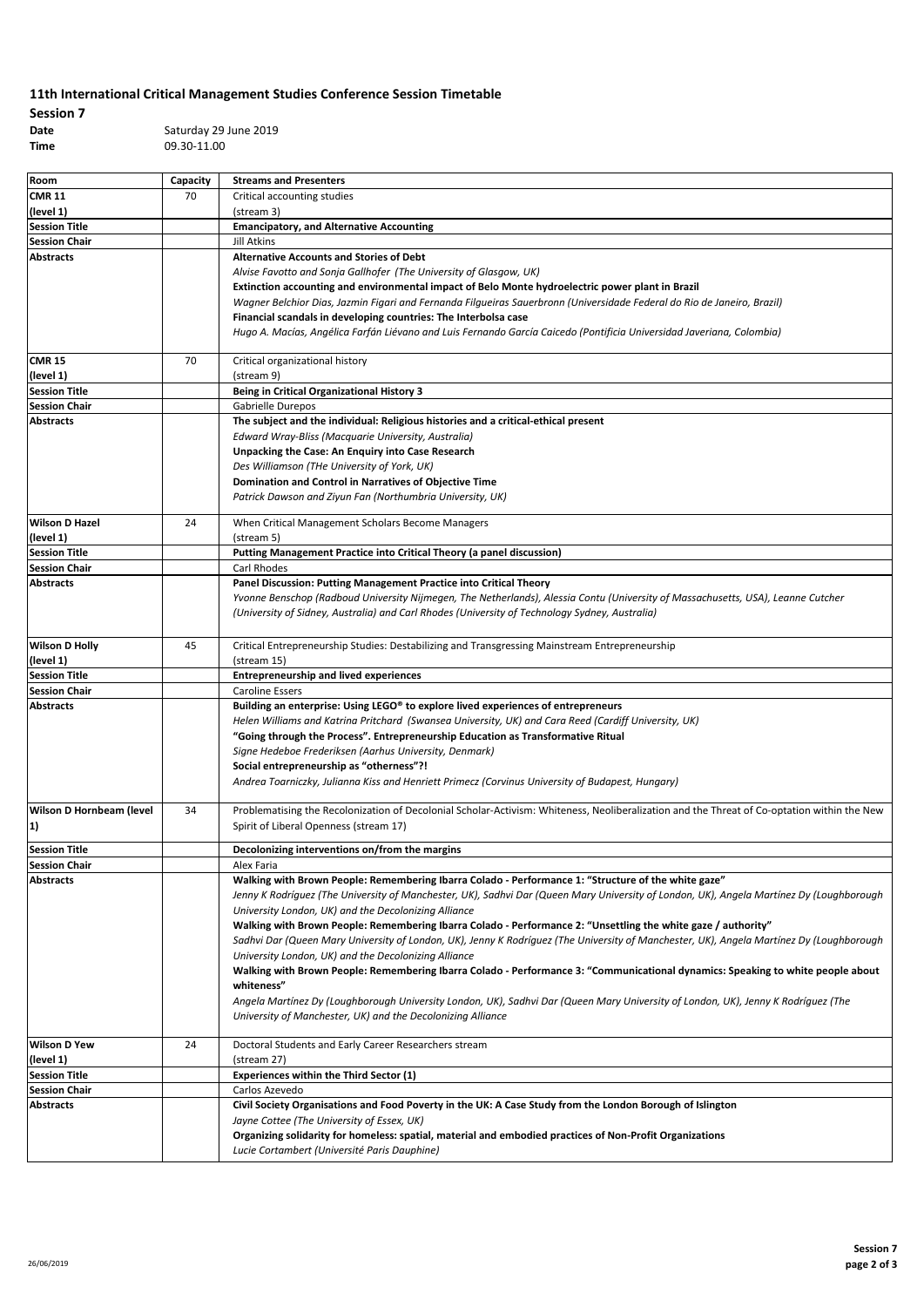## **11th International Critical Management Studies Conference Session Timetable**

**Session 7**

**Date** Saturday 29 June 2019 **Time** 09.30-11.00

| <b>CMR 11</b><br>70<br>Critical accounting studies<br>(level 1)<br>(stream 3)<br><b>Session Title</b><br><b>Emancipatory, and Alternative Accounting</b><br><b>Session Chair</b><br>Jill Atkins<br><b>Abstracts</b><br><b>Alternative Accounts and Stories of Debt</b><br>Alvise Favotto and Sonja Gallhofer (The University of Glasgow, UK)<br>Extinction accounting and environmental impact of Belo Monte hydroelectric power plant in Brazil<br>Wagner Belchior Dias, Jazmin Figari and Fernanda Filgueiras Sauerbronn (Universidade Federal do Rio de Janeiro, Brazil)<br>Financial scandals in developing countries: The Interbolsa case<br>Hugo A. Macías, Angélica Farfán Liévano and Luis Fernando García Caicedo (Pontificia Universidad Javeriana, Colombia)<br>70<br>Critical organizational history<br>(level 1)<br>(stream 9)<br><b>Session Title</b><br><b>Being in Critical Organizational History 3</b><br>Gabrielle Durepos<br>The subject and the individual: Religious histories and a critical-ethical present<br>Edward Wray-Bliss (Macquarie University, Australia)<br>Unpacking the Case: An Enquiry into Case Research<br>Des Williamson (THe University of York, UK)<br>Domination and Control in Narratives of Objective Time<br>Patrick Dawson and Ziyun Fan (Northumbria University, UK)<br>24<br>When Critical Management Scholars Become Managers<br>(level 1)<br>(stream 5)<br><b>Session Title</b><br>Putting Management Practice into Critical Theory (a panel discussion)<br><b>Session Chair</b><br>Carl Rhodes<br><b>Abstracts</b><br>Panel Discussion: Putting Management Practice into Critical Theory<br>Yvonne Benschop (Radboud University Nijmegen, The Netherlands), Alessia Contu (University of Massachusetts, USA), Leanne Cutcher<br>(University of Sidney, Australia) and Carl Rhodes (University of Technology Sydney, Australia)<br>45<br>Critical Entrepreneurship Studies: Destabilizing and Transgressing Mainstream Entrepreneurship<br>(level 1)<br>(stream 15)<br><b>Session Title</b><br><b>Entrepreneurship and lived experiences</b><br><b>Caroline Essers</b><br><b>Abstracts</b><br>Building an enterprise: Using LEGO® to explore lived experiences of entrepreneurs<br>Helen Williams and Katrina Pritchard (Swansea University, UK) and Cara Reed (Cardiff University, UK)<br>"Going through the Process". Entrepreneurship Education as Transformative Ritual<br>Signe Hedeboe Frederiksen (Aarhus University, Denmark)<br>Social entrepreneurship as "otherness"?!<br>Andrea Toarniczky, Julianna Kiss and Henriett Primecz (Corvinus University of Budapest, Hungary)<br>34<br>Wilson D Hornbeam (level<br>Problematising the Recolonization of Decolonial Scholar-Activism: Whiteness, Neoliberalization and the Threat of Co-optation within the New<br>Spirit of Liberal Openness (stream 17)<br>1)<br>Decolonizing interventions on/from the margins<br><b>Session Chair</b><br>Alex Faria<br>Walking with Brown People: Remembering Ibarra Colado - Performance 1: "Structure of the white gaze"<br><b>Abstracts</b><br>Jenny K Rodríguez (The University of Manchester, UK), Sadhvi Dar (Queen Mary University of London, UK), Angela Martínez Dy (Loughborough<br>University London, UK) and the Decolonizing Alliance<br>Walking with Brown People: Remembering Ibarra Colado - Performance 2: "Unsettling the white gaze / authority"<br>Sadhvi Dar (Queen Mary University of London, UK), Jenny K Rodríguez (The University of Manchester, UK), Angela Martínez Dy (Loughborough<br>University London, UK) and the Decolonizing Alliance<br>Walking with Brown People: Remembering Ibarra Colado - Performance 3: "Communicational dynamics: Speaking to white people about<br>whiteness"<br>Angela Martínez Dy (Loughborough University London, UK), Sadhvi Dar (Queen Mary University of London, UK), Jenny K Rodríguez (The<br>University of Manchester, UK) and the Decolonizing Alliance<br>24<br>Doctoral Students and Early Career Researchers stream<br>(level 1)<br>(stream 27)<br><b>Experiences within the Third Sector (1)</b><br>Carlos Azevedo<br>Civil Society Organisations and Food Poverty in the UK: A Case Study from the London Borough of Islington<br>Jayne Cottee (The University of Essex, UK)<br>Organizing solidarity for homeless: spatial, material and embodied practices of Non-Profit Organizations<br>Lucie Cortambert (Université Paris Dauphine) | Room                  | Capacity | <b>Streams and Presenters</b> |
|-------------------------------------------------------------------------------------------------------------------------------------------------------------------------------------------------------------------------------------------------------------------------------------------------------------------------------------------------------------------------------------------------------------------------------------------------------------------------------------------------------------------------------------------------------------------------------------------------------------------------------------------------------------------------------------------------------------------------------------------------------------------------------------------------------------------------------------------------------------------------------------------------------------------------------------------------------------------------------------------------------------------------------------------------------------------------------------------------------------------------------------------------------------------------------------------------------------------------------------------------------------------------------------------------------------------------------------------------------------------------------------------------------------------------------------------------------------------------------------------------------------------------------------------------------------------------------------------------------------------------------------------------------------------------------------------------------------------------------------------------------------------------------------------------------------------------------------------------------------------------------------------------------------------------------------------------------------------------------------------------------------------------------------------------------------------------------------------------------------------------------------------------------------------------------------------------------------------------------------------------------------------------------------------------------------------------------------------------------------------------------------------------------------------------------------------------------------------------------------------------------------------------------------------------------------------------------------------------------------------------------------------------------------------------------------------------------------------------------------------------------------------------------------------------------------------------------------------------------------------------------------------------------------------------------------------------------------------------------------------------------------------------------------------------------------------------------------------------------------------------------------------------------------------------------------------------------------------------------------------------------------------------------------------------------------------------------------------------------------------------------------------------------------------------------------------------------------------------------------------------------------------------------------------------------------------------------------------------------------------------------------------------------------------------------------------------------------------------------------------------------------------------------------------------------------------------------------------------------------------------------------------------------------------------------------------------------------------------------------------------------------------------------------------------------------------------------------------------------------------------------------------------------------------------------------------------------------------------------------------------------------------------------------------------------------------------------------------------------------------------------------------------------------------------------------------------------------------|-----------------------|----------|-------------------------------|
|                                                                                                                                                                                                                                                                                                                                                                                                                                                                                                                                                                                                                                                                                                                                                                                                                                                                                                                                                                                                                                                                                                                                                                                                                                                                                                                                                                                                                                                                                                                                                                                                                                                                                                                                                                                                                                                                                                                                                                                                                                                                                                                                                                                                                                                                                                                                                                                                                                                                                                                                                                                                                                                                                                                                                                                                                                                                                                                                                                                                                                                                                                                                                                                                                                                                                                                                                                                                                                                                                                                                                                                                                                                                                                                                                                                                                                                                                                                                                                                                                                                                                                                                                                                                                                                                                                                                                                                                                                                                   |                       |          |                               |
|                                                                                                                                                                                                                                                                                                                                                                                                                                                                                                                                                                                                                                                                                                                                                                                                                                                                                                                                                                                                                                                                                                                                                                                                                                                                                                                                                                                                                                                                                                                                                                                                                                                                                                                                                                                                                                                                                                                                                                                                                                                                                                                                                                                                                                                                                                                                                                                                                                                                                                                                                                                                                                                                                                                                                                                                                                                                                                                                                                                                                                                                                                                                                                                                                                                                                                                                                                                                                                                                                                                                                                                                                                                                                                                                                                                                                                                                                                                                                                                                                                                                                                                                                                                                                                                                                                                                                                                                                                                                   |                       |          |                               |
|                                                                                                                                                                                                                                                                                                                                                                                                                                                                                                                                                                                                                                                                                                                                                                                                                                                                                                                                                                                                                                                                                                                                                                                                                                                                                                                                                                                                                                                                                                                                                                                                                                                                                                                                                                                                                                                                                                                                                                                                                                                                                                                                                                                                                                                                                                                                                                                                                                                                                                                                                                                                                                                                                                                                                                                                                                                                                                                                                                                                                                                                                                                                                                                                                                                                                                                                                                                                                                                                                                                                                                                                                                                                                                                                                                                                                                                                                                                                                                                                                                                                                                                                                                                                                                                                                                                                                                                                                                                                   |                       |          |                               |
|                                                                                                                                                                                                                                                                                                                                                                                                                                                                                                                                                                                                                                                                                                                                                                                                                                                                                                                                                                                                                                                                                                                                                                                                                                                                                                                                                                                                                                                                                                                                                                                                                                                                                                                                                                                                                                                                                                                                                                                                                                                                                                                                                                                                                                                                                                                                                                                                                                                                                                                                                                                                                                                                                                                                                                                                                                                                                                                                                                                                                                                                                                                                                                                                                                                                                                                                                                                                                                                                                                                                                                                                                                                                                                                                                                                                                                                                                                                                                                                                                                                                                                                                                                                                                                                                                                                                                                                                                                                                   |                       |          |                               |
|                                                                                                                                                                                                                                                                                                                                                                                                                                                                                                                                                                                                                                                                                                                                                                                                                                                                                                                                                                                                                                                                                                                                                                                                                                                                                                                                                                                                                                                                                                                                                                                                                                                                                                                                                                                                                                                                                                                                                                                                                                                                                                                                                                                                                                                                                                                                                                                                                                                                                                                                                                                                                                                                                                                                                                                                                                                                                                                                                                                                                                                                                                                                                                                                                                                                                                                                                                                                                                                                                                                                                                                                                                                                                                                                                                                                                                                                                                                                                                                                                                                                                                                                                                                                                                                                                                                                                                                                                                                                   |                       |          |                               |
|                                                                                                                                                                                                                                                                                                                                                                                                                                                                                                                                                                                                                                                                                                                                                                                                                                                                                                                                                                                                                                                                                                                                                                                                                                                                                                                                                                                                                                                                                                                                                                                                                                                                                                                                                                                                                                                                                                                                                                                                                                                                                                                                                                                                                                                                                                                                                                                                                                                                                                                                                                                                                                                                                                                                                                                                                                                                                                                                                                                                                                                                                                                                                                                                                                                                                                                                                                                                                                                                                                                                                                                                                                                                                                                                                                                                                                                                                                                                                                                                                                                                                                                                                                                                                                                                                                                                                                                                                                                                   |                       |          |                               |
|                                                                                                                                                                                                                                                                                                                                                                                                                                                                                                                                                                                                                                                                                                                                                                                                                                                                                                                                                                                                                                                                                                                                                                                                                                                                                                                                                                                                                                                                                                                                                                                                                                                                                                                                                                                                                                                                                                                                                                                                                                                                                                                                                                                                                                                                                                                                                                                                                                                                                                                                                                                                                                                                                                                                                                                                                                                                                                                                                                                                                                                                                                                                                                                                                                                                                                                                                                                                                                                                                                                                                                                                                                                                                                                                                                                                                                                                                                                                                                                                                                                                                                                                                                                                                                                                                                                                                                                                                                                                   |                       |          |                               |
|                                                                                                                                                                                                                                                                                                                                                                                                                                                                                                                                                                                                                                                                                                                                                                                                                                                                                                                                                                                                                                                                                                                                                                                                                                                                                                                                                                                                                                                                                                                                                                                                                                                                                                                                                                                                                                                                                                                                                                                                                                                                                                                                                                                                                                                                                                                                                                                                                                                                                                                                                                                                                                                                                                                                                                                                                                                                                                                                                                                                                                                                                                                                                                                                                                                                                                                                                                                                                                                                                                                                                                                                                                                                                                                                                                                                                                                                                                                                                                                                                                                                                                                                                                                                                                                                                                                                                                                                                                                                   |                       |          |                               |
|                                                                                                                                                                                                                                                                                                                                                                                                                                                                                                                                                                                                                                                                                                                                                                                                                                                                                                                                                                                                                                                                                                                                                                                                                                                                                                                                                                                                                                                                                                                                                                                                                                                                                                                                                                                                                                                                                                                                                                                                                                                                                                                                                                                                                                                                                                                                                                                                                                                                                                                                                                                                                                                                                                                                                                                                                                                                                                                                                                                                                                                                                                                                                                                                                                                                                                                                                                                                                                                                                                                                                                                                                                                                                                                                                                                                                                                                                                                                                                                                                                                                                                                                                                                                                                                                                                                                                                                                                                                                   |                       |          |                               |
|                                                                                                                                                                                                                                                                                                                                                                                                                                                                                                                                                                                                                                                                                                                                                                                                                                                                                                                                                                                                                                                                                                                                                                                                                                                                                                                                                                                                                                                                                                                                                                                                                                                                                                                                                                                                                                                                                                                                                                                                                                                                                                                                                                                                                                                                                                                                                                                                                                                                                                                                                                                                                                                                                                                                                                                                                                                                                                                                                                                                                                                                                                                                                                                                                                                                                                                                                                                                                                                                                                                                                                                                                                                                                                                                                                                                                                                                                                                                                                                                                                                                                                                                                                                                                                                                                                                                                                                                                                                                   |                       |          |                               |
|                                                                                                                                                                                                                                                                                                                                                                                                                                                                                                                                                                                                                                                                                                                                                                                                                                                                                                                                                                                                                                                                                                                                                                                                                                                                                                                                                                                                                                                                                                                                                                                                                                                                                                                                                                                                                                                                                                                                                                                                                                                                                                                                                                                                                                                                                                                                                                                                                                                                                                                                                                                                                                                                                                                                                                                                                                                                                                                                                                                                                                                                                                                                                                                                                                                                                                                                                                                                                                                                                                                                                                                                                                                                                                                                                                                                                                                                                                                                                                                                                                                                                                                                                                                                                                                                                                                                                                                                                                                                   |                       |          |                               |
|                                                                                                                                                                                                                                                                                                                                                                                                                                                                                                                                                                                                                                                                                                                                                                                                                                                                                                                                                                                                                                                                                                                                                                                                                                                                                                                                                                                                                                                                                                                                                                                                                                                                                                                                                                                                                                                                                                                                                                                                                                                                                                                                                                                                                                                                                                                                                                                                                                                                                                                                                                                                                                                                                                                                                                                                                                                                                                                                                                                                                                                                                                                                                                                                                                                                                                                                                                                                                                                                                                                                                                                                                                                                                                                                                                                                                                                                                                                                                                                                                                                                                                                                                                                                                                                                                                                                                                                                                                                                   | <b>CMR 15</b>         |          |                               |
|                                                                                                                                                                                                                                                                                                                                                                                                                                                                                                                                                                                                                                                                                                                                                                                                                                                                                                                                                                                                                                                                                                                                                                                                                                                                                                                                                                                                                                                                                                                                                                                                                                                                                                                                                                                                                                                                                                                                                                                                                                                                                                                                                                                                                                                                                                                                                                                                                                                                                                                                                                                                                                                                                                                                                                                                                                                                                                                                                                                                                                                                                                                                                                                                                                                                                                                                                                                                                                                                                                                                                                                                                                                                                                                                                                                                                                                                                                                                                                                                                                                                                                                                                                                                                                                                                                                                                                                                                                                                   |                       |          |                               |
|                                                                                                                                                                                                                                                                                                                                                                                                                                                                                                                                                                                                                                                                                                                                                                                                                                                                                                                                                                                                                                                                                                                                                                                                                                                                                                                                                                                                                                                                                                                                                                                                                                                                                                                                                                                                                                                                                                                                                                                                                                                                                                                                                                                                                                                                                                                                                                                                                                                                                                                                                                                                                                                                                                                                                                                                                                                                                                                                                                                                                                                                                                                                                                                                                                                                                                                                                                                                                                                                                                                                                                                                                                                                                                                                                                                                                                                                                                                                                                                                                                                                                                                                                                                                                                                                                                                                                                                                                                                                   |                       |          |                               |
|                                                                                                                                                                                                                                                                                                                                                                                                                                                                                                                                                                                                                                                                                                                                                                                                                                                                                                                                                                                                                                                                                                                                                                                                                                                                                                                                                                                                                                                                                                                                                                                                                                                                                                                                                                                                                                                                                                                                                                                                                                                                                                                                                                                                                                                                                                                                                                                                                                                                                                                                                                                                                                                                                                                                                                                                                                                                                                                                                                                                                                                                                                                                                                                                                                                                                                                                                                                                                                                                                                                                                                                                                                                                                                                                                                                                                                                                                                                                                                                                                                                                                                                                                                                                                                                                                                                                                                                                                                                                   | <b>Session Chair</b>  |          |                               |
|                                                                                                                                                                                                                                                                                                                                                                                                                                                                                                                                                                                                                                                                                                                                                                                                                                                                                                                                                                                                                                                                                                                                                                                                                                                                                                                                                                                                                                                                                                                                                                                                                                                                                                                                                                                                                                                                                                                                                                                                                                                                                                                                                                                                                                                                                                                                                                                                                                                                                                                                                                                                                                                                                                                                                                                                                                                                                                                                                                                                                                                                                                                                                                                                                                                                                                                                                                                                                                                                                                                                                                                                                                                                                                                                                                                                                                                                                                                                                                                                                                                                                                                                                                                                                                                                                                                                                                                                                                                                   | <b>Abstracts</b>      |          |                               |
|                                                                                                                                                                                                                                                                                                                                                                                                                                                                                                                                                                                                                                                                                                                                                                                                                                                                                                                                                                                                                                                                                                                                                                                                                                                                                                                                                                                                                                                                                                                                                                                                                                                                                                                                                                                                                                                                                                                                                                                                                                                                                                                                                                                                                                                                                                                                                                                                                                                                                                                                                                                                                                                                                                                                                                                                                                                                                                                                                                                                                                                                                                                                                                                                                                                                                                                                                                                                                                                                                                                                                                                                                                                                                                                                                                                                                                                                                                                                                                                                                                                                                                                                                                                                                                                                                                                                                                                                                                                                   |                       |          |                               |
|                                                                                                                                                                                                                                                                                                                                                                                                                                                                                                                                                                                                                                                                                                                                                                                                                                                                                                                                                                                                                                                                                                                                                                                                                                                                                                                                                                                                                                                                                                                                                                                                                                                                                                                                                                                                                                                                                                                                                                                                                                                                                                                                                                                                                                                                                                                                                                                                                                                                                                                                                                                                                                                                                                                                                                                                                                                                                                                                                                                                                                                                                                                                                                                                                                                                                                                                                                                                                                                                                                                                                                                                                                                                                                                                                                                                                                                                                                                                                                                                                                                                                                                                                                                                                                                                                                                                                                                                                                                                   |                       |          |                               |
|                                                                                                                                                                                                                                                                                                                                                                                                                                                                                                                                                                                                                                                                                                                                                                                                                                                                                                                                                                                                                                                                                                                                                                                                                                                                                                                                                                                                                                                                                                                                                                                                                                                                                                                                                                                                                                                                                                                                                                                                                                                                                                                                                                                                                                                                                                                                                                                                                                                                                                                                                                                                                                                                                                                                                                                                                                                                                                                                                                                                                                                                                                                                                                                                                                                                                                                                                                                                                                                                                                                                                                                                                                                                                                                                                                                                                                                                                                                                                                                                                                                                                                                                                                                                                                                                                                                                                                                                                                                                   |                       |          |                               |
|                                                                                                                                                                                                                                                                                                                                                                                                                                                                                                                                                                                                                                                                                                                                                                                                                                                                                                                                                                                                                                                                                                                                                                                                                                                                                                                                                                                                                                                                                                                                                                                                                                                                                                                                                                                                                                                                                                                                                                                                                                                                                                                                                                                                                                                                                                                                                                                                                                                                                                                                                                                                                                                                                                                                                                                                                                                                                                                                                                                                                                                                                                                                                                                                                                                                                                                                                                                                                                                                                                                                                                                                                                                                                                                                                                                                                                                                                                                                                                                                                                                                                                                                                                                                                                                                                                                                                                                                                                                                   |                       |          |                               |
|                                                                                                                                                                                                                                                                                                                                                                                                                                                                                                                                                                                                                                                                                                                                                                                                                                                                                                                                                                                                                                                                                                                                                                                                                                                                                                                                                                                                                                                                                                                                                                                                                                                                                                                                                                                                                                                                                                                                                                                                                                                                                                                                                                                                                                                                                                                                                                                                                                                                                                                                                                                                                                                                                                                                                                                                                                                                                                                                                                                                                                                                                                                                                                                                                                                                                                                                                                                                                                                                                                                                                                                                                                                                                                                                                                                                                                                                                                                                                                                                                                                                                                                                                                                                                                                                                                                                                                                                                                                                   |                       |          |                               |
|                                                                                                                                                                                                                                                                                                                                                                                                                                                                                                                                                                                                                                                                                                                                                                                                                                                                                                                                                                                                                                                                                                                                                                                                                                                                                                                                                                                                                                                                                                                                                                                                                                                                                                                                                                                                                                                                                                                                                                                                                                                                                                                                                                                                                                                                                                                                                                                                                                                                                                                                                                                                                                                                                                                                                                                                                                                                                                                                                                                                                                                                                                                                                                                                                                                                                                                                                                                                                                                                                                                                                                                                                                                                                                                                                                                                                                                                                                                                                                                                                                                                                                                                                                                                                                                                                                                                                                                                                                                                   |                       |          |                               |
|                                                                                                                                                                                                                                                                                                                                                                                                                                                                                                                                                                                                                                                                                                                                                                                                                                                                                                                                                                                                                                                                                                                                                                                                                                                                                                                                                                                                                                                                                                                                                                                                                                                                                                                                                                                                                                                                                                                                                                                                                                                                                                                                                                                                                                                                                                                                                                                                                                                                                                                                                                                                                                                                                                                                                                                                                                                                                                                                                                                                                                                                                                                                                                                                                                                                                                                                                                                                                                                                                                                                                                                                                                                                                                                                                                                                                                                                                                                                                                                                                                                                                                                                                                                                                                                                                                                                                                                                                                                                   | <b>Wilson D Hazel</b> |          |                               |
|                                                                                                                                                                                                                                                                                                                                                                                                                                                                                                                                                                                                                                                                                                                                                                                                                                                                                                                                                                                                                                                                                                                                                                                                                                                                                                                                                                                                                                                                                                                                                                                                                                                                                                                                                                                                                                                                                                                                                                                                                                                                                                                                                                                                                                                                                                                                                                                                                                                                                                                                                                                                                                                                                                                                                                                                                                                                                                                                                                                                                                                                                                                                                                                                                                                                                                                                                                                                                                                                                                                                                                                                                                                                                                                                                                                                                                                                                                                                                                                                                                                                                                                                                                                                                                                                                                                                                                                                                                                                   |                       |          |                               |
|                                                                                                                                                                                                                                                                                                                                                                                                                                                                                                                                                                                                                                                                                                                                                                                                                                                                                                                                                                                                                                                                                                                                                                                                                                                                                                                                                                                                                                                                                                                                                                                                                                                                                                                                                                                                                                                                                                                                                                                                                                                                                                                                                                                                                                                                                                                                                                                                                                                                                                                                                                                                                                                                                                                                                                                                                                                                                                                                                                                                                                                                                                                                                                                                                                                                                                                                                                                                                                                                                                                                                                                                                                                                                                                                                                                                                                                                                                                                                                                                                                                                                                                                                                                                                                                                                                                                                                                                                                                                   |                       |          |                               |
|                                                                                                                                                                                                                                                                                                                                                                                                                                                                                                                                                                                                                                                                                                                                                                                                                                                                                                                                                                                                                                                                                                                                                                                                                                                                                                                                                                                                                                                                                                                                                                                                                                                                                                                                                                                                                                                                                                                                                                                                                                                                                                                                                                                                                                                                                                                                                                                                                                                                                                                                                                                                                                                                                                                                                                                                                                                                                                                                                                                                                                                                                                                                                                                                                                                                                                                                                                                                                                                                                                                                                                                                                                                                                                                                                                                                                                                                                                                                                                                                                                                                                                                                                                                                                                                                                                                                                                                                                                                                   |                       |          |                               |
|                                                                                                                                                                                                                                                                                                                                                                                                                                                                                                                                                                                                                                                                                                                                                                                                                                                                                                                                                                                                                                                                                                                                                                                                                                                                                                                                                                                                                                                                                                                                                                                                                                                                                                                                                                                                                                                                                                                                                                                                                                                                                                                                                                                                                                                                                                                                                                                                                                                                                                                                                                                                                                                                                                                                                                                                                                                                                                                                                                                                                                                                                                                                                                                                                                                                                                                                                                                                                                                                                                                                                                                                                                                                                                                                                                                                                                                                                                                                                                                                                                                                                                                                                                                                                                                                                                                                                                                                                                                                   |                       |          |                               |
|                                                                                                                                                                                                                                                                                                                                                                                                                                                                                                                                                                                                                                                                                                                                                                                                                                                                                                                                                                                                                                                                                                                                                                                                                                                                                                                                                                                                                                                                                                                                                                                                                                                                                                                                                                                                                                                                                                                                                                                                                                                                                                                                                                                                                                                                                                                                                                                                                                                                                                                                                                                                                                                                                                                                                                                                                                                                                                                                                                                                                                                                                                                                                                                                                                                                                                                                                                                                                                                                                                                                                                                                                                                                                                                                                                                                                                                                                                                                                                                                                                                                                                                                                                                                                                                                                                                                                                                                                                                                   |                       |          |                               |
|                                                                                                                                                                                                                                                                                                                                                                                                                                                                                                                                                                                                                                                                                                                                                                                                                                                                                                                                                                                                                                                                                                                                                                                                                                                                                                                                                                                                                                                                                                                                                                                                                                                                                                                                                                                                                                                                                                                                                                                                                                                                                                                                                                                                                                                                                                                                                                                                                                                                                                                                                                                                                                                                                                                                                                                                                                                                                                                                                                                                                                                                                                                                                                                                                                                                                                                                                                                                                                                                                                                                                                                                                                                                                                                                                                                                                                                                                                                                                                                                                                                                                                                                                                                                                                                                                                                                                                                                                                                                   |                       |          |                               |
|                                                                                                                                                                                                                                                                                                                                                                                                                                                                                                                                                                                                                                                                                                                                                                                                                                                                                                                                                                                                                                                                                                                                                                                                                                                                                                                                                                                                                                                                                                                                                                                                                                                                                                                                                                                                                                                                                                                                                                                                                                                                                                                                                                                                                                                                                                                                                                                                                                                                                                                                                                                                                                                                                                                                                                                                                                                                                                                                                                                                                                                                                                                                                                                                                                                                                                                                                                                                                                                                                                                                                                                                                                                                                                                                                                                                                                                                                                                                                                                                                                                                                                                                                                                                                                                                                                                                                                                                                                                                   |                       |          |                               |
|                                                                                                                                                                                                                                                                                                                                                                                                                                                                                                                                                                                                                                                                                                                                                                                                                                                                                                                                                                                                                                                                                                                                                                                                                                                                                                                                                                                                                                                                                                                                                                                                                                                                                                                                                                                                                                                                                                                                                                                                                                                                                                                                                                                                                                                                                                                                                                                                                                                                                                                                                                                                                                                                                                                                                                                                                                                                                                                                                                                                                                                                                                                                                                                                                                                                                                                                                                                                                                                                                                                                                                                                                                                                                                                                                                                                                                                                                                                                                                                                                                                                                                                                                                                                                                                                                                                                                                                                                                                                   | <b>Wilson D Holly</b> |          |                               |
|                                                                                                                                                                                                                                                                                                                                                                                                                                                                                                                                                                                                                                                                                                                                                                                                                                                                                                                                                                                                                                                                                                                                                                                                                                                                                                                                                                                                                                                                                                                                                                                                                                                                                                                                                                                                                                                                                                                                                                                                                                                                                                                                                                                                                                                                                                                                                                                                                                                                                                                                                                                                                                                                                                                                                                                                                                                                                                                                                                                                                                                                                                                                                                                                                                                                                                                                                                                                                                                                                                                                                                                                                                                                                                                                                                                                                                                                                                                                                                                                                                                                                                                                                                                                                                                                                                                                                                                                                                                                   |                       |          |                               |
|                                                                                                                                                                                                                                                                                                                                                                                                                                                                                                                                                                                                                                                                                                                                                                                                                                                                                                                                                                                                                                                                                                                                                                                                                                                                                                                                                                                                                                                                                                                                                                                                                                                                                                                                                                                                                                                                                                                                                                                                                                                                                                                                                                                                                                                                                                                                                                                                                                                                                                                                                                                                                                                                                                                                                                                                                                                                                                                                                                                                                                                                                                                                                                                                                                                                                                                                                                                                                                                                                                                                                                                                                                                                                                                                                                                                                                                                                                                                                                                                                                                                                                                                                                                                                                                                                                                                                                                                                                                                   |                       |          |                               |
|                                                                                                                                                                                                                                                                                                                                                                                                                                                                                                                                                                                                                                                                                                                                                                                                                                                                                                                                                                                                                                                                                                                                                                                                                                                                                                                                                                                                                                                                                                                                                                                                                                                                                                                                                                                                                                                                                                                                                                                                                                                                                                                                                                                                                                                                                                                                                                                                                                                                                                                                                                                                                                                                                                                                                                                                                                                                                                                                                                                                                                                                                                                                                                                                                                                                                                                                                                                                                                                                                                                                                                                                                                                                                                                                                                                                                                                                                                                                                                                                                                                                                                                                                                                                                                                                                                                                                                                                                                                                   | <b>Session Chair</b>  |          |                               |
|                                                                                                                                                                                                                                                                                                                                                                                                                                                                                                                                                                                                                                                                                                                                                                                                                                                                                                                                                                                                                                                                                                                                                                                                                                                                                                                                                                                                                                                                                                                                                                                                                                                                                                                                                                                                                                                                                                                                                                                                                                                                                                                                                                                                                                                                                                                                                                                                                                                                                                                                                                                                                                                                                                                                                                                                                                                                                                                                                                                                                                                                                                                                                                                                                                                                                                                                                                                                                                                                                                                                                                                                                                                                                                                                                                                                                                                                                                                                                                                                                                                                                                                                                                                                                                                                                                                                                                                                                                                                   |                       |          |                               |
|                                                                                                                                                                                                                                                                                                                                                                                                                                                                                                                                                                                                                                                                                                                                                                                                                                                                                                                                                                                                                                                                                                                                                                                                                                                                                                                                                                                                                                                                                                                                                                                                                                                                                                                                                                                                                                                                                                                                                                                                                                                                                                                                                                                                                                                                                                                                                                                                                                                                                                                                                                                                                                                                                                                                                                                                                                                                                                                                                                                                                                                                                                                                                                                                                                                                                                                                                                                                                                                                                                                                                                                                                                                                                                                                                                                                                                                                                                                                                                                                                                                                                                                                                                                                                                                                                                                                                                                                                                                                   |                       |          |                               |
|                                                                                                                                                                                                                                                                                                                                                                                                                                                                                                                                                                                                                                                                                                                                                                                                                                                                                                                                                                                                                                                                                                                                                                                                                                                                                                                                                                                                                                                                                                                                                                                                                                                                                                                                                                                                                                                                                                                                                                                                                                                                                                                                                                                                                                                                                                                                                                                                                                                                                                                                                                                                                                                                                                                                                                                                                                                                                                                                                                                                                                                                                                                                                                                                                                                                                                                                                                                                                                                                                                                                                                                                                                                                                                                                                                                                                                                                                                                                                                                                                                                                                                                                                                                                                                                                                                                                                                                                                                                                   |                       |          |                               |
|                                                                                                                                                                                                                                                                                                                                                                                                                                                                                                                                                                                                                                                                                                                                                                                                                                                                                                                                                                                                                                                                                                                                                                                                                                                                                                                                                                                                                                                                                                                                                                                                                                                                                                                                                                                                                                                                                                                                                                                                                                                                                                                                                                                                                                                                                                                                                                                                                                                                                                                                                                                                                                                                                                                                                                                                                                                                                                                                                                                                                                                                                                                                                                                                                                                                                                                                                                                                                                                                                                                                                                                                                                                                                                                                                                                                                                                                                                                                                                                                                                                                                                                                                                                                                                                                                                                                                                                                                                                                   |                       |          |                               |
|                                                                                                                                                                                                                                                                                                                                                                                                                                                                                                                                                                                                                                                                                                                                                                                                                                                                                                                                                                                                                                                                                                                                                                                                                                                                                                                                                                                                                                                                                                                                                                                                                                                                                                                                                                                                                                                                                                                                                                                                                                                                                                                                                                                                                                                                                                                                                                                                                                                                                                                                                                                                                                                                                                                                                                                                                                                                                                                                                                                                                                                                                                                                                                                                                                                                                                                                                                                                                                                                                                                                                                                                                                                                                                                                                                                                                                                                                                                                                                                                                                                                                                                                                                                                                                                                                                                                                                                                                                                                   |                       |          |                               |
|                                                                                                                                                                                                                                                                                                                                                                                                                                                                                                                                                                                                                                                                                                                                                                                                                                                                                                                                                                                                                                                                                                                                                                                                                                                                                                                                                                                                                                                                                                                                                                                                                                                                                                                                                                                                                                                                                                                                                                                                                                                                                                                                                                                                                                                                                                                                                                                                                                                                                                                                                                                                                                                                                                                                                                                                                                                                                                                                                                                                                                                                                                                                                                                                                                                                                                                                                                                                                                                                                                                                                                                                                                                                                                                                                                                                                                                                                                                                                                                                                                                                                                                                                                                                                                                                                                                                                                                                                                                                   |                       |          |                               |
|                                                                                                                                                                                                                                                                                                                                                                                                                                                                                                                                                                                                                                                                                                                                                                                                                                                                                                                                                                                                                                                                                                                                                                                                                                                                                                                                                                                                                                                                                                                                                                                                                                                                                                                                                                                                                                                                                                                                                                                                                                                                                                                                                                                                                                                                                                                                                                                                                                                                                                                                                                                                                                                                                                                                                                                                                                                                                                                                                                                                                                                                                                                                                                                                                                                                                                                                                                                                                                                                                                                                                                                                                                                                                                                                                                                                                                                                                                                                                                                                                                                                                                                                                                                                                                                                                                                                                                                                                                                                   |                       |          |                               |
|                                                                                                                                                                                                                                                                                                                                                                                                                                                                                                                                                                                                                                                                                                                                                                                                                                                                                                                                                                                                                                                                                                                                                                                                                                                                                                                                                                                                                                                                                                                                                                                                                                                                                                                                                                                                                                                                                                                                                                                                                                                                                                                                                                                                                                                                                                                                                                                                                                                                                                                                                                                                                                                                                                                                                                                                                                                                                                                                                                                                                                                                                                                                                                                                                                                                                                                                                                                                                                                                                                                                                                                                                                                                                                                                                                                                                                                                                                                                                                                                                                                                                                                                                                                                                                                                                                                                                                                                                                                                   |                       |          |                               |
|                                                                                                                                                                                                                                                                                                                                                                                                                                                                                                                                                                                                                                                                                                                                                                                                                                                                                                                                                                                                                                                                                                                                                                                                                                                                                                                                                                                                                                                                                                                                                                                                                                                                                                                                                                                                                                                                                                                                                                                                                                                                                                                                                                                                                                                                                                                                                                                                                                                                                                                                                                                                                                                                                                                                                                                                                                                                                                                                                                                                                                                                                                                                                                                                                                                                                                                                                                                                                                                                                                                                                                                                                                                                                                                                                                                                                                                                                                                                                                                                                                                                                                                                                                                                                                                                                                                                                                                                                                                                   |                       |          |                               |
|                                                                                                                                                                                                                                                                                                                                                                                                                                                                                                                                                                                                                                                                                                                                                                                                                                                                                                                                                                                                                                                                                                                                                                                                                                                                                                                                                                                                                                                                                                                                                                                                                                                                                                                                                                                                                                                                                                                                                                                                                                                                                                                                                                                                                                                                                                                                                                                                                                                                                                                                                                                                                                                                                                                                                                                                                                                                                                                                                                                                                                                                                                                                                                                                                                                                                                                                                                                                                                                                                                                                                                                                                                                                                                                                                                                                                                                                                                                                                                                                                                                                                                                                                                                                                                                                                                                                                                                                                                                                   | <b>Session Title</b>  |          |                               |
|                                                                                                                                                                                                                                                                                                                                                                                                                                                                                                                                                                                                                                                                                                                                                                                                                                                                                                                                                                                                                                                                                                                                                                                                                                                                                                                                                                                                                                                                                                                                                                                                                                                                                                                                                                                                                                                                                                                                                                                                                                                                                                                                                                                                                                                                                                                                                                                                                                                                                                                                                                                                                                                                                                                                                                                                                                                                                                                                                                                                                                                                                                                                                                                                                                                                                                                                                                                                                                                                                                                                                                                                                                                                                                                                                                                                                                                                                                                                                                                                                                                                                                                                                                                                                                                                                                                                                                                                                                                                   |                       |          |                               |
|                                                                                                                                                                                                                                                                                                                                                                                                                                                                                                                                                                                                                                                                                                                                                                                                                                                                                                                                                                                                                                                                                                                                                                                                                                                                                                                                                                                                                                                                                                                                                                                                                                                                                                                                                                                                                                                                                                                                                                                                                                                                                                                                                                                                                                                                                                                                                                                                                                                                                                                                                                                                                                                                                                                                                                                                                                                                                                                                                                                                                                                                                                                                                                                                                                                                                                                                                                                                                                                                                                                                                                                                                                                                                                                                                                                                                                                                                                                                                                                                                                                                                                                                                                                                                                                                                                                                                                                                                                                                   |                       |          |                               |
|                                                                                                                                                                                                                                                                                                                                                                                                                                                                                                                                                                                                                                                                                                                                                                                                                                                                                                                                                                                                                                                                                                                                                                                                                                                                                                                                                                                                                                                                                                                                                                                                                                                                                                                                                                                                                                                                                                                                                                                                                                                                                                                                                                                                                                                                                                                                                                                                                                                                                                                                                                                                                                                                                                                                                                                                                                                                                                                                                                                                                                                                                                                                                                                                                                                                                                                                                                                                                                                                                                                                                                                                                                                                                                                                                                                                                                                                                                                                                                                                                                                                                                                                                                                                                                                                                                                                                                                                                                                                   |                       |          |                               |
|                                                                                                                                                                                                                                                                                                                                                                                                                                                                                                                                                                                                                                                                                                                                                                                                                                                                                                                                                                                                                                                                                                                                                                                                                                                                                                                                                                                                                                                                                                                                                                                                                                                                                                                                                                                                                                                                                                                                                                                                                                                                                                                                                                                                                                                                                                                                                                                                                                                                                                                                                                                                                                                                                                                                                                                                                                                                                                                                                                                                                                                                                                                                                                                                                                                                                                                                                                                                                                                                                                                                                                                                                                                                                                                                                                                                                                                                                                                                                                                                                                                                                                                                                                                                                                                                                                                                                                                                                                                                   |                       |          |                               |
|                                                                                                                                                                                                                                                                                                                                                                                                                                                                                                                                                                                                                                                                                                                                                                                                                                                                                                                                                                                                                                                                                                                                                                                                                                                                                                                                                                                                                                                                                                                                                                                                                                                                                                                                                                                                                                                                                                                                                                                                                                                                                                                                                                                                                                                                                                                                                                                                                                                                                                                                                                                                                                                                                                                                                                                                                                                                                                                                                                                                                                                                                                                                                                                                                                                                                                                                                                                                                                                                                                                                                                                                                                                                                                                                                                                                                                                                                                                                                                                                                                                                                                                                                                                                                                                                                                                                                                                                                                                                   |                       |          |                               |
|                                                                                                                                                                                                                                                                                                                                                                                                                                                                                                                                                                                                                                                                                                                                                                                                                                                                                                                                                                                                                                                                                                                                                                                                                                                                                                                                                                                                                                                                                                                                                                                                                                                                                                                                                                                                                                                                                                                                                                                                                                                                                                                                                                                                                                                                                                                                                                                                                                                                                                                                                                                                                                                                                                                                                                                                                                                                                                                                                                                                                                                                                                                                                                                                                                                                                                                                                                                                                                                                                                                                                                                                                                                                                                                                                                                                                                                                                                                                                                                                                                                                                                                                                                                                                                                                                                                                                                                                                                                                   |                       |          |                               |
|                                                                                                                                                                                                                                                                                                                                                                                                                                                                                                                                                                                                                                                                                                                                                                                                                                                                                                                                                                                                                                                                                                                                                                                                                                                                                                                                                                                                                                                                                                                                                                                                                                                                                                                                                                                                                                                                                                                                                                                                                                                                                                                                                                                                                                                                                                                                                                                                                                                                                                                                                                                                                                                                                                                                                                                                                                                                                                                                                                                                                                                                                                                                                                                                                                                                                                                                                                                                                                                                                                                                                                                                                                                                                                                                                                                                                                                                                                                                                                                                                                                                                                                                                                                                                                                                                                                                                                                                                                                                   |                       |          |                               |
|                                                                                                                                                                                                                                                                                                                                                                                                                                                                                                                                                                                                                                                                                                                                                                                                                                                                                                                                                                                                                                                                                                                                                                                                                                                                                                                                                                                                                                                                                                                                                                                                                                                                                                                                                                                                                                                                                                                                                                                                                                                                                                                                                                                                                                                                                                                                                                                                                                                                                                                                                                                                                                                                                                                                                                                                                                                                                                                                                                                                                                                                                                                                                                                                                                                                                                                                                                                                                                                                                                                                                                                                                                                                                                                                                                                                                                                                                                                                                                                                                                                                                                                                                                                                                                                                                                                                                                                                                                                                   |                       |          |                               |
|                                                                                                                                                                                                                                                                                                                                                                                                                                                                                                                                                                                                                                                                                                                                                                                                                                                                                                                                                                                                                                                                                                                                                                                                                                                                                                                                                                                                                                                                                                                                                                                                                                                                                                                                                                                                                                                                                                                                                                                                                                                                                                                                                                                                                                                                                                                                                                                                                                                                                                                                                                                                                                                                                                                                                                                                                                                                                                                                                                                                                                                                                                                                                                                                                                                                                                                                                                                                                                                                                                                                                                                                                                                                                                                                                                                                                                                                                                                                                                                                                                                                                                                                                                                                                                                                                                                                                                                                                                                                   |                       |          |                               |
|                                                                                                                                                                                                                                                                                                                                                                                                                                                                                                                                                                                                                                                                                                                                                                                                                                                                                                                                                                                                                                                                                                                                                                                                                                                                                                                                                                                                                                                                                                                                                                                                                                                                                                                                                                                                                                                                                                                                                                                                                                                                                                                                                                                                                                                                                                                                                                                                                                                                                                                                                                                                                                                                                                                                                                                                                                                                                                                                                                                                                                                                                                                                                                                                                                                                                                                                                                                                                                                                                                                                                                                                                                                                                                                                                                                                                                                                                                                                                                                                                                                                                                                                                                                                                                                                                                                                                                                                                                                                   |                       |          |                               |
|                                                                                                                                                                                                                                                                                                                                                                                                                                                                                                                                                                                                                                                                                                                                                                                                                                                                                                                                                                                                                                                                                                                                                                                                                                                                                                                                                                                                                                                                                                                                                                                                                                                                                                                                                                                                                                                                                                                                                                                                                                                                                                                                                                                                                                                                                                                                                                                                                                                                                                                                                                                                                                                                                                                                                                                                                                                                                                                                                                                                                                                                                                                                                                                                                                                                                                                                                                                                                                                                                                                                                                                                                                                                                                                                                                                                                                                                                                                                                                                                                                                                                                                                                                                                                                                                                                                                                                                                                                                                   |                       |          |                               |
|                                                                                                                                                                                                                                                                                                                                                                                                                                                                                                                                                                                                                                                                                                                                                                                                                                                                                                                                                                                                                                                                                                                                                                                                                                                                                                                                                                                                                                                                                                                                                                                                                                                                                                                                                                                                                                                                                                                                                                                                                                                                                                                                                                                                                                                                                                                                                                                                                                                                                                                                                                                                                                                                                                                                                                                                                                                                                                                                                                                                                                                                                                                                                                                                                                                                                                                                                                                                                                                                                                                                                                                                                                                                                                                                                                                                                                                                                                                                                                                                                                                                                                                                                                                                                                                                                                                                                                                                                                                                   |                       |          |                               |
|                                                                                                                                                                                                                                                                                                                                                                                                                                                                                                                                                                                                                                                                                                                                                                                                                                                                                                                                                                                                                                                                                                                                                                                                                                                                                                                                                                                                                                                                                                                                                                                                                                                                                                                                                                                                                                                                                                                                                                                                                                                                                                                                                                                                                                                                                                                                                                                                                                                                                                                                                                                                                                                                                                                                                                                                                                                                                                                                                                                                                                                                                                                                                                                                                                                                                                                                                                                                                                                                                                                                                                                                                                                                                                                                                                                                                                                                                                                                                                                                                                                                                                                                                                                                                                                                                                                                                                                                                                                                   | <b>Wilson D Yew</b>   |          |                               |
|                                                                                                                                                                                                                                                                                                                                                                                                                                                                                                                                                                                                                                                                                                                                                                                                                                                                                                                                                                                                                                                                                                                                                                                                                                                                                                                                                                                                                                                                                                                                                                                                                                                                                                                                                                                                                                                                                                                                                                                                                                                                                                                                                                                                                                                                                                                                                                                                                                                                                                                                                                                                                                                                                                                                                                                                                                                                                                                                                                                                                                                                                                                                                                                                                                                                                                                                                                                                                                                                                                                                                                                                                                                                                                                                                                                                                                                                                                                                                                                                                                                                                                                                                                                                                                                                                                                                                                                                                                                                   |                       |          |                               |
|                                                                                                                                                                                                                                                                                                                                                                                                                                                                                                                                                                                                                                                                                                                                                                                                                                                                                                                                                                                                                                                                                                                                                                                                                                                                                                                                                                                                                                                                                                                                                                                                                                                                                                                                                                                                                                                                                                                                                                                                                                                                                                                                                                                                                                                                                                                                                                                                                                                                                                                                                                                                                                                                                                                                                                                                                                                                                                                                                                                                                                                                                                                                                                                                                                                                                                                                                                                                                                                                                                                                                                                                                                                                                                                                                                                                                                                                                                                                                                                                                                                                                                                                                                                                                                                                                                                                                                                                                                                                   | <b>Session Title</b>  |          |                               |
|                                                                                                                                                                                                                                                                                                                                                                                                                                                                                                                                                                                                                                                                                                                                                                                                                                                                                                                                                                                                                                                                                                                                                                                                                                                                                                                                                                                                                                                                                                                                                                                                                                                                                                                                                                                                                                                                                                                                                                                                                                                                                                                                                                                                                                                                                                                                                                                                                                                                                                                                                                                                                                                                                                                                                                                                                                                                                                                                                                                                                                                                                                                                                                                                                                                                                                                                                                                                                                                                                                                                                                                                                                                                                                                                                                                                                                                                                                                                                                                                                                                                                                                                                                                                                                                                                                                                                                                                                                                                   | <b>Session Chair</b>  |          |                               |
|                                                                                                                                                                                                                                                                                                                                                                                                                                                                                                                                                                                                                                                                                                                                                                                                                                                                                                                                                                                                                                                                                                                                                                                                                                                                                                                                                                                                                                                                                                                                                                                                                                                                                                                                                                                                                                                                                                                                                                                                                                                                                                                                                                                                                                                                                                                                                                                                                                                                                                                                                                                                                                                                                                                                                                                                                                                                                                                                                                                                                                                                                                                                                                                                                                                                                                                                                                                                                                                                                                                                                                                                                                                                                                                                                                                                                                                                                                                                                                                                                                                                                                                                                                                                                                                                                                                                                                                                                                                                   | <b>Abstracts</b>      |          |                               |
|                                                                                                                                                                                                                                                                                                                                                                                                                                                                                                                                                                                                                                                                                                                                                                                                                                                                                                                                                                                                                                                                                                                                                                                                                                                                                                                                                                                                                                                                                                                                                                                                                                                                                                                                                                                                                                                                                                                                                                                                                                                                                                                                                                                                                                                                                                                                                                                                                                                                                                                                                                                                                                                                                                                                                                                                                                                                                                                                                                                                                                                                                                                                                                                                                                                                                                                                                                                                                                                                                                                                                                                                                                                                                                                                                                                                                                                                                                                                                                                                                                                                                                                                                                                                                                                                                                                                                                                                                                                                   |                       |          |                               |
|                                                                                                                                                                                                                                                                                                                                                                                                                                                                                                                                                                                                                                                                                                                                                                                                                                                                                                                                                                                                                                                                                                                                                                                                                                                                                                                                                                                                                                                                                                                                                                                                                                                                                                                                                                                                                                                                                                                                                                                                                                                                                                                                                                                                                                                                                                                                                                                                                                                                                                                                                                                                                                                                                                                                                                                                                                                                                                                                                                                                                                                                                                                                                                                                                                                                                                                                                                                                                                                                                                                                                                                                                                                                                                                                                                                                                                                                                                                                                                                                                                                                                                                                                                                                                                                                                                                                                                                                                                                                   |                       |          |                               |
|                                                                                                                                                                                                                                                                                                                                                                                                                                                                                                                                                                                                                                                                                                                                                                                                                                                                                                                                                                                                                                                                                                                                                                                                                                                                                                                                                                                                                                                                                                                                                                                                                                                                                                                                                                                                                                                                                                                                                                                                                                                                                                                                                                                                                                                                                                                                                                                                                                                                                                                                                                                                                                                                                                                                                                                                                                                                                                                                                                                                                                                                                                                                                                                                                                                                                                                                                                                                                                                                                                                                                                                                                                                                                                                                                                                                                                                                                                                                                                                                                                                                                                                                                                                                                                                                                                                                                                                                                                                                   |                       |          |                               |